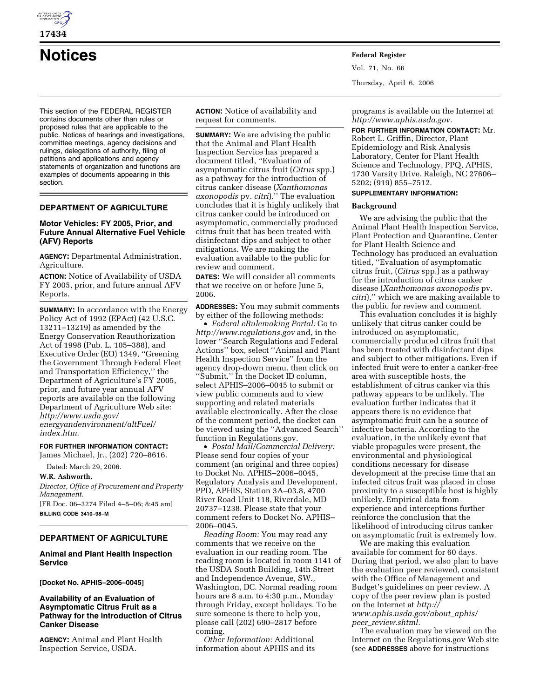

# **Notices Federal Register**

This section of the FEDERAL REGISTER contains documents other than rules or proposed rules that are applicable to the public. Notices of hearings and investigations, committee meetings, agency decisions and rulings, delegations of authority, filing of petitions and applications and agency statements of organization and functions are examples of documents appearing in this section.

# **DEPARTMENT OF AGRICULTURE**

# **Motor Vehicles: FY 2005, Prior, and Future Annual Alternative Fuel Vehicle (AFV) Reports**

**AGENCY:** Departmental Administration, Agriculture.

**ACTION:** Notice of Availability of USDA FY 2005, prior, and future annual AFV Reports.

**SUMMARY:** In accordance with the Energy Policy Act of 1992 (EPAct) (42 U.S.C. 13211–13219) as amended by the Energy Conservation Reauthorization Act of 1998 (Pub. L. 105–388), and Executive Order (EO) 1349, ''Greening the Government Through Federal Fleet and Transportation Efficiency,'' the Department of Agriculture's FY 2005, prior, and future year annual AFV reports are available on the following Department of Agriculture Web site: *http://www.usda.gov/ energyandenvironment/altFuel/ index.htm.* 

# **FOR FURTHER INFORMATION CONTACT:**

James Michael, Jr., (202) 720–8616.

Dated: March 29, 2006.

# **W.R. Ashworth,**

*Director, Office of Procurement and Property Management.* 

[FR Doc. 06–3274 Filed 4–5–06; 8:45 am] **BILLING CODE 3410–98–M** 

# **DEPARTMENT OF AGRICULTURE**

# **Animal and Plant Health Inspection Service**

**[Docket No. APHIS–2006–0045]** 

# **Availability of an Evaluation of Asymptomatic Citrus Fruit as a Pathway for the Introduction of Citrus Canker Disease**

**AGENCY:** Animal and Plant Health Inspection Service, USDA.

**ACTION:** Notice of availability and request for comments.

**SUMMARY:** We are advising the public that the Animal and Plant Health Inspection Service has prepared a document titled, ''Evaluation of asymptomatic citrus fruit (*Citrus* spp.) as a pathway for the introduction of citrus canker disease (*Xanthomonas axonopodis* pv. *citri*).'' The evaluation concludes that it is highly unlikely that citrus canker could be introduced on asymptomatic, commercially produced citrus fruit that has been treated with disinfectant dips and subject to other mitigations. We are making the evaluation available to the public for review and comment.

**DATES:** We will consider all comments that we receive on or before June 5, 2006.

**ADDRESSES:** You may submit comments by either of the following methods:

• *Federal eRulemaking Portal:* Go to *http://www.regulations.gov* and, in the lower ''Search Regulations and Federal Actions'' box, select ''Animal and Plant Health Inspection Service'' from the agency drop-down menu, then click on ''Submit.'' In the Docket ID column, select APHIS–2006–0045 to submit or view public comments and to view supporting and related materials available electronically. After the close of the comment period, the docket can be viewed using the ''Advanced Search'' function in Regulations.gov.

• *Postal Mail/Commercial Delivery:*  Please send four copies of your comment (an original and three copies) to Docket No. APHIS–2006–0045, Regulatory Analysis and Development, PPD, APHIS, Station 3A–03.8, 4700 River Road Unit 118, Riverdale, MD 20737–1238. Please state that your comment refers to Docket No. APHIS– 2006–0045.

*Reading Room:* You may read any comments that we receive on the evaluation in our reading room. The reading room is located in room 1141 of the USDA South Building, 14th Street and Independence Avenue, SW., Washington, DC. Normal reading room hours are 8 a.m. to 4:30 p.m., Monday through Friday, except holidays. To be sure someone is there to help you, please call (202) 690–2817 before coming.

*Other Information:* Additional information about APHIS and its Vol. 71, No. 66 Thursday, April 6, 2006

programs is available on the Internet at *http://www.aphis.usda.gov.* 

**FOR FURTHER INFORMATION CONTACT:** Mr. Robert L. Griffin, Director, Plant Epidemiology and Risk Analysis Laboratory, Center for Plant Health Science and Technology, PPQ, APHIS, 1730 Varsity Drive, Raleigh, NC 27606– 5202; (919) 855–7512.

# **SUPPLEMENTARY INFORMATION:**

#### **Background**

We are advising the public that the Animal Plant Health Inspection Service, Plant Protection and Quarantine, Center for Plant Health Science and Technology has produced an evaluation titled, ''Evaluation of asymptomatic citrus fruit, (*Citrus* spp.) as a pathway for the introduction of citrus canker disease (*Xanthomonas axonopodis* pv. *citri*),'' which we are making available to the public for review and comment.

This evaluation concludes it is highly unlikely that citrus canker could be introduced on asymptomatic, commercially produced citrus fruit that has been treated with disinfectant dips and subject to other mitigations. Even if infected fruit were to enter a canker-free area with susceptible hosts, the establishment of citrus canker via this pathway appears to be unlikely. The evaluation further indicates that it appears there is no evidence that asymptomatic fruit can be a source of infective bacteria. According to the evaluation, in the unlikely event that viable propagules were present, the environmental and physiological conditions necessary for disease development at the precise time that an infected citrus fruit was placed in close proximity to a susceptible host is highly unlikely. Empirical data from experience and interceptions further reinforce the conclusion that the likelihood of introducing citrus canker on asymptomatic fruit is extremely low.

We are making this evaluation available for comment for 60 days. During that period, we also plan to have the evaluation peer reviewed, consistent with the Office of Management and Budget's guidelines on peer review. A copy of the peer review plan is posted on the Internet at *http:// www.aphis.usda.gov/about*\_*aphis/ peer*\_*review.shtml.* 

The evaluation may be viewed on the Internet on the Regulations.gov Web site (see **ADDRESSES** above for instructions